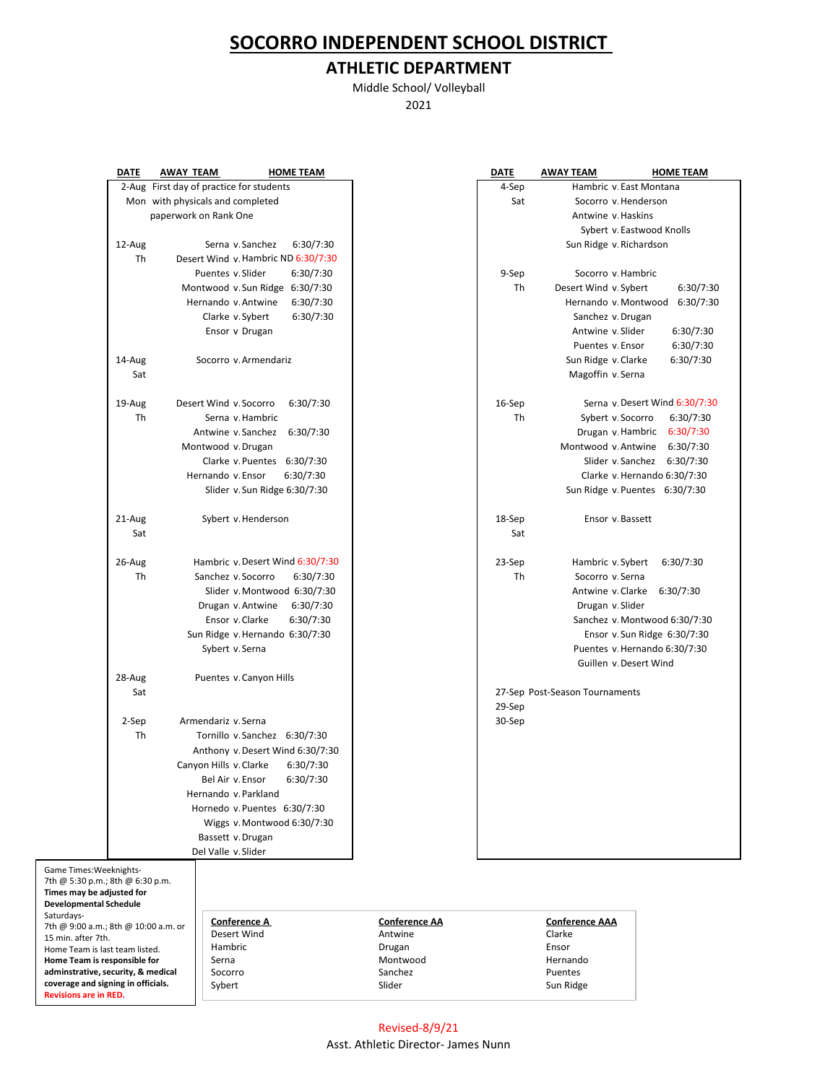## **SOCORRO INDEPENDENT SCHOOL DISTRICT**

## **ATHLETIC DEPARTMENT**

Middle School/ Volleyball 2021

|                                                            | <b>DATE</b>                                                    | <b>AWAY TEAM</b> |                                          | <b>HOME TEAM</b>                    |                      | <b>DATE</b> | <b>AWAY TEAM</b>               | <b>HOME TEAM</b>               |
|------------------------------------------------------------|----------------------------------------------------------------|------------------|------------------------------------------|-------------------------------------|----------------------|-------------|--------------------------------|--------------------------------|
|                                                            |                                                                |                  | 2-Aug First day of practice for students |                                     |                      | 4-Sep       | Hambric v. East Montana        |                                |
|                                                            |                                                                |                  | Mon with physicals and completed         |                                     |                      | Sat         | Socorro v Henderson            |                                |
|                                                            |                                                                |                  | paperwork on Rank One                    |                                     |                      |             | Antwine v Haskins              |                                |
|                                                            |                                                                |                  |                                          |                                     |                      |             |                                | Sybert v Eastwood Knolls       |
|                                                            | 12-Aug                                                         |                  | Serna v Sanchez                          | 6:30/7:30                           |                      |             | Sun Ridge v Richardson         |                                |
|                                                            | Th                                                             |                  |                                          | Desert Wind v. Hambric ND 6:30/7:30 |                      |             |                                |                                |
|                                                            |                                                                |                  | Puentes v Slider                         | 6:30/7:30                           |                      | 9-Sep       | Socorro v Hambric              |                                |
|                                                            |                                                                |                  |                                          | Montwood v Sun Ridge 6:30/7:30      |                      | Th          | Desert Wind v. Sybert          | 6:30/7:30                      |
|                                                            |                                                                |                  | Hernando v Antwine                       | 6:30/7:30                           |                      |             |                                | Hernando v Montwood 6:30/7:30  |
|                                                            |                                                                |                  | Clarke v Sybert                          | 6:30/7:30                           |                      |             | Sanchez v. Drugan              |                                |
|                                                            |                                                                |                  | Ensor v Drugan                           |                                     |                      |             | Antwine v Slider               | 6:30/7:30                      |
|                                                            |                                                                |                  |                                          |                                     |                      |             | Puentes v. Ensor               | 6:30/7:30                      |
|                                                            | 14-Aug                                                         |                  | Socorro v Armendariz                     |                                     |                      |             | Sun Ridge v Clarke             | 6:30/7:30                      |
|                                                            | Sat                                                            |                  |                                          |                                     |                      |             | Magoffin v Serna               |                                |
|                                                            |                                                                |                  |                                          |                                     |                      |             |                                |                                |
|                                                            | 19-Aug                                                         |                  | Desert Wind v Socorro                    | 6:30/7:30                           |                      | 16-Sep      |                                | Serna v Desert Wind 6:30/7:30  |
|                                                            | Th                                                             |                  | Serna v. Hambric                         |                                     |                      | Th          | Sybert v Socorro               | 6:30/7:30                      |
|                                                            |                                                                |                  |                                          | Antwine v. Sanchez 6:30/7:30        |                      |             | Drugan v Hambric               | 6:30/7:30                      |
|                                                            |                                                                |                  | Montwood v. Drugan                       |                                     |                      |             | Montwood v Antwine             | 6:30/7:30                      |
|                                                            |                                                                |                  |                                          | Clarke v Puentes 6:30/7:30          |                      |             |                                | Slider v. Sanchez 6:30/7:30    |
|                                                            |                                                                |                  | Hernando v Ensor                         | 6:30/7:30                           |                      |             |                                | Clarke v Hernando 6:30/7:30    |
|                                                            |                                                                |                  |                                          |                                     |                      |             |                                |                                |
|                                                            |                                                                |                  |                                          | Slider v Sun Ridge 6:30/7:30        |                      |             |                                | Sun Ridge v. Puentes 6:30/7:30 |
|                                                            | 21-Aug                                                         |                  | Sybert v. Henderson                      |                                     |                      | 18-Sep      | Ensor v. Bassett               |                                |
|                                                            |                                                                |                  |                                          |                                     |                      | Sat         |                                |                                |
|                                                            | Sat                                                            |                  |                                          |                                     |                      |             |                                |                                |
|                                                            | 26-Aug                                                         |                  |                                          | Hambric v. Desert Wind 6:30/7:30    |                      | 23-Sep      | Hambric v Sybert               | 6:30/7:30                      |
|                                                            | Th                                                             |                  | Sanchez v Socorro                        | 6:30/7:30                           |                      | Th          | Socorro v Serna                |                                |
|                                                            |                                                                |                  |                                          | Slider v Montwood 6:30/7:30         |                      |             | Antwine v Clarke               |                                |
|                                                            |                                                                |                  |                                          |                                     |                      |             |                                | 6:30/7:30                      |
|                                                            |                                                                |                  | Drugan v Antwine                         | 6:30/7:30                           |                      |             | Drugan v Slider                |                                |
|                                                            |                                                                |                  | Ensor v Clarke                           | 6:30/7:30                           |                      |             |                                | Sanchez v. Montwood 6:30/7:30  |
|                                                            |                                                                |                  |                                          | Sun Ridge v Hernando 6:30/7:30      |                      |             |                                | Ensor v. Sun Ridge 6:30/7:30   |
|                                                            |                                                                |                  | Sybert v Serna                           |                                     |                      |             |                                | Puentes v. Hernando 6:30/7:30  |
|                                                            |                                                                |                  |                                          |                                     |                      |             | Guillen v. Desert Wind         |                                |
|                                                            | 28-Aug                                                         |                  |                                          | Puentes v. Canyon Hills             |                      |             |                                |                                |
|                                                            | Sat                                                            |                  |                                          |                                     |                      |             | 27-Sep Post-Season Tournaments |                                |
|                                                            |                                                                |                  |                                          |                                     |                      | 29-Sep      |                                |                                |
|                                                            | 2-Sep                                                          |                  | Armendariz v Serna                       |                                     |                      | 30-Sep      |                                |                                |
|                                                            | Th                                                             |                  |                                          | Tornillo v Sanchez 6:30/7:30        |                      |             |                                |                                |
|                                                            |                                                                |                  |                                          | Anthony v. Desert Wind 6:30/7:30    |                      |             |                                |                                |
|                                                            |                                                                |                  | Canyon Hills v. Clarke                   | 6:30/7:30                           |                      |             |                                |                                |
|                                                            |                                                                |                  |                                          | Bel Air v. Ensor 6:30/7:30          |                      |             |                                |                                |
|                                                            |                                                                |                  | Hernando v Parkland                      |                                     |                      |             |                                |                                |
|                                                            |                                                                |                  |                                          | Hornedo v Puentes 6:30/7:30         |                      |             |                                |                                |
|                                                            |                                                                |                  |                                          | Wiggs v. Montwood 6:30/7:30         |                      |             |                                |                                |
|                                                            | Bassett v. Drugan                                              |                  |                                          |                                     |                      |             |                                |                                |
|                                                            |                                                                |                  | Del Valle v Slider                       |                                     |                      |             |                                |                                |
| Game Times: Weeknights-                                    |                                                                |                  |                                          |                                     |                      |             |                                |                                |
| 7th @ 5:30 p.m.; 8th @ 6:30 p.m.                           |                                                                |                  |                                          |                                     |                      |             |                                |                                |
| Times may be adjusted for<br><b>Developmental Schedule</b> |                                                                |                  |                                          |                                     |                      |             |                                |                                |
| Saturdays-                                                 |                                                                |                  |                                          |                                     |                      |             |                                |                                |
|                                                            | 7th @ 9:00 a.m.; 8th @ 10:00 a.m. or                           |                  |                                          | <b>Conference A</b>                 | <b>Conference AA</b> |             | <b>Conference AAA</b>          |                                |
| 15 min. after 7th.                                         |                                                                |                  |                                          | Desert Wind<br>Hambric              | Antwine              |             | Clarke                         |                                |
|                                                            | Home Team is last team listed.<br>Home Team is responsible for |                  |                                          |                                     | Drugan<br>Montwood   |             | Ensor<br>Hernando              |                                |
|                                                            | adminstrative, security, & medical                             |                  |                                          |                                     | Sanchez              |             | Puentes                        |                                |

**adminstrative, security, & medical coverage and signing in officials. Revisions are in RED.**

| DATE   | AWAY TEAM                      | <b>HOME TEAM</b>              |
|--------|--------------------------------|-------------------------------|
| 4-Sep  |                                | Hambric v. East Montana       |
| Sat    |                                | Socorro v Henderson           |
|        |                                | Antwine v Haskins             |
|        |                                | Sybert v Eastwood Knolls      |
|        |                                | Sun Ridge v Richardson        |
|        |                                |                               |
| 9-Sep  |                                | Socorro v Hambric             |
| Th     | Desert Wind v. Sybert          | 6:30/7:30                     |
|        |                                | Hernando v Montwood 6:30/7:30 |
|        |                                | Sanchez v. Drugan             |
|        | Antwine v Slider               | 6:30/7:30                     |
|        |                                | Puentes v Ensor<br>6:30/7:30  |
|        | Sun Ridge v. Clarke            | 6:30/7:30                     |
|        | Magoffin v Serna               |                               |
|        |                                |                               |
| 16-Sep |                                | Serna y Desert Wind 6:30/7:30 |
| Th     |                                | Sybert v Socorro<br>6:30/7:30 |
|        |                                | Drugan v Hambric 6:30/7:30    |
|        |                                | Montwood v. Antwine 6:30/7:30 |
|        |                                | Slider v Sanchez<br>6:30/7:30 |
|        |                                | Clarke v Hernando 6:30/7:30   |
|        |                                |                               |
|        |                                | Sun Ridge v Puentes 6:30/7:30 |
| 18-Sep |                                | Ensor v Bassett               |
| Sat    |                                |                               |
|        |                                |                               |
| 23-Sep |                                | Hambric v Sybert 6:30/7:30    |
| Th     |                                | Socorro v Serna               |
|        |                                | Antwine v Clarke<br>6:30/7:30 |
|        |                                | Drugan v Slider               |
|        |                                | Sanchez v. Montwood 6:30/7:30 |
|        |                                | Ensor v Sun Ridge 6:30/7:30   |
|        |                                | Puentes v. Hernando 6:30/7:30 |
|        |                                | Guillen v. Desert Wind        |
|        |                                |                               |
|        | 27-Sep Post-Season Tournaments |                               |
| 29-Sep |                                |                               |
| 30-Sep |                                |                               |
|        |                                |                               |
|        |                                |                               |
|        |                                |                               |
|        |                                |                               |
|        |                                |                               |
|        |                                |                               |
|        |                                |                               |
|        |                                |                               |
|        |                                |                               |
|        |                                |                               |
|        |                                |                               |

Sun Ridge

Revised-8/9/21 Asst. Athletic Director- James Nunn

Socorro Sanchez Puentes